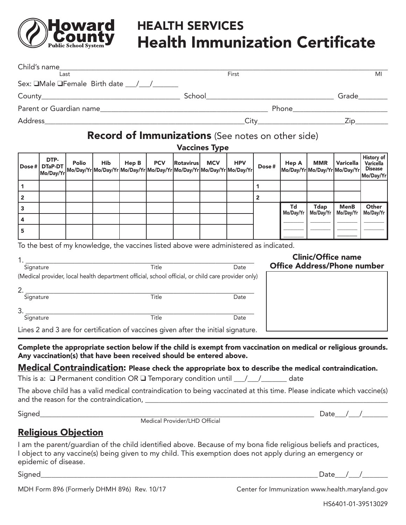

# **Sounty** HEALTH SERVICES  $\text{L}_{\text{Public School System}}$  Health Immunization Certificate

|                         |                      | Last                       |            |       |                          |                                                                     |                      | First                                                                                                                                                                                                                        |              |                                    |             |                                            | MI                                                                                                                      |
|-------------------------|----------------------|----------------------------|------------|-------|--------------------------|---------------------------------------------------------------------|----------------------|------------------------------------------------------------------------------------------------------------------------------------------------------------------------------------------------------------------------------|--------------|------------------------------------|-------------|--------------------------------------------|-------------------------------------------------------------------------------------------------------------------------|
|                         |                      |                            |            |       |                          |                                                                     |                      |                                                                                                                                                                                                                              |              |                                    |             |                                            |                                                                                                                         |
|                         |                      |                            |            |       |                          |                                                                     |                      |                                                                                                                                                                                                                              |              |                                    |             |                                            |                                                                                                                         |
|                         |                      |                            |            |       |                          |                                                                     |                      |                                                                                                                                                                                                                              |              |                                    |             |                                            |                                                                                                                         |
|                         |                      |                            |            |       |                          |                                                                     |                      | Record of Immunizations (See notes on other side)                                                                                                                                                                            |              |                                    |             |                                            |                                                                                                                         |
|                         |                      |                            |            |       |                          |                                                                     | <b>Vaccines Type</b> |                                                                                                                                                                                                                              |              |                                    |             |                                            |                                                                                                                         |
| Dose $#$                | DTP-                 | Polio                      | <b>Hib</b> | Hep B | <b>PCV</b>               | Rotavirusl                                                          | <b>MCV</b>           | <b>HPV</b><br>ן יש דומי בן im views (Mo/Day/Yr Mo/Day/Yr Mo/Day/Yr Mo/Day/Yr Mo/Day/Yr Mo/Day/Yr Mo/Day/Yr Mo/Day/Yr Mo                                                                                                      | Dose#        | Hep A                              | <b>MMR</b>  | Varicella<br>Mo/Day/Yr Mo/Day/Yr Mo/Day/Yr | History of<br>Varicella<br><b>Disease</b><br>Mo/Day/Yr                                                                  |
| 1                       |                      |                            |            |       |                          |                                                                     |                      |                                                                                                                                                                                                                              | $\mathbf{1}$ |                                    |             |                                            |                                                                                                                         |
| $\overline{\mathbf{2}}$ |                      |                            |            |       |                          |                                                                     |                      |                                                                                                                                                                                                                              | $\mathbf{2}$ |                                    |             |                                            |                                                                                                                         |
| 3                       |                      |                            |            |       |                          |                                                                     |                      |                                                                                                                                                                                                                              |              | Td<br>Mo/Day/Yr                    | <b>Tdap</b> | <b>MenB</b><br>Mo/Day/Yr   Mo/Day/Yr       | Other<br>Mo/Day/Yr                                                                                                      |
| 4<br>5                  |                      |                            |            |       |                          |                                                                     |                      |                                                                                                                                                                                                                              |              |                                    |             |                                            |                                                                                                                         |
|                         |                      |                            |            |       |                          |                                                                     |                      |                                                                                                                                                                                                                              |              |                                    |             |                                            |                                                                                                                         |
| Signature               |                      | 2. Signature               |            |       | $\frac{1}{\text{Title}}$ | Title<br>Title                                                      |                      | Date<br>(Medical provider, local health department official, school official, or child care provider only)<br>Date                                                                                                           |              | <b>Office Address/Phone number</b> |             |                                            |                                                                                                                         |
| 3.<br>Signature         |                      |                            |            |       | Title                    |                                                                     |                      | Date                                                                                                                                                                                                                         |              |                                    |             |                                            |                                                                                                                         |
|                         |                      |                            |            |       |                          |                                                                     |                      | Lines 2 and 3 are for certification of vaccines given after the initial signature.                                                                                                                                           |              |                                    |             |                                            |                                                                                                                         |
|                         |                      |                            |            |       |                          | Any vaccination(s) that have been received should be entered above. |                      |                                                                                                                                                                                                                              |              |                                    |             |                                            | Complete the appropriate section below if the child is exempt from vaccination on medical or religious grounds.         |
|                         |                      |                            |            |       |                          |                                                                     |                      | <b>Medical Contraindication:</b> Please check the appropriate box to describe the medical contraindication.<br>This is a: $\Box$ Permanent condition OR $\Box$ Temporary condition until $\Box / \Box / \Box$ date           |              |                                    |             |                                            |                                                                                                                         |
|                         |                      |                            |            |       |                          |                                                                     |                      |                                                                                                                                                                                                                              |              |                                    |             |                                            | The above child has a valid medical contraindication to being vaccinated at this time. Please indicate which vaccine(s) |
|                         |                      |                            |            |       |                          |                                                                     |                      |                                                                                                                                                                                                                              |              |                                    |             |                                            |                                                                                                                         |
|                         |                      |                            |            |       |                          |                                                                     |                      |                                                                                                                                                                                                                              |              |                                    |             |                                            |                                                                                                                         |
|                         |                      | <b>Religious Objection</b> |            |       |                          |                                                                     |                      |                                                                                                                                                                                                                              |              |                                    |             |                                            |                                                                                                                         |
|                         | epidemic of disease. |                            |            |       |                          |                                                                     |                      | I am the parent/guardian of the child identified above. Because of my bona fide religious beliefs and practices,<br>I object to any vaccine(s) being given to my child. This exemption does not apply during an emergency or |              |                                    |             |                                            |                                                                                                                         |
|                         |                      |                            |            |       |                          |                                                                     |                      |                                                                                                                                                                                                                              |              |                                    |             | Date $/$ $/$                               |                                                                                                                         |

MDH Form 896 (Formerly DHMH 896) Rev. 10/17 Center for Immunization www.health.maryland.gov